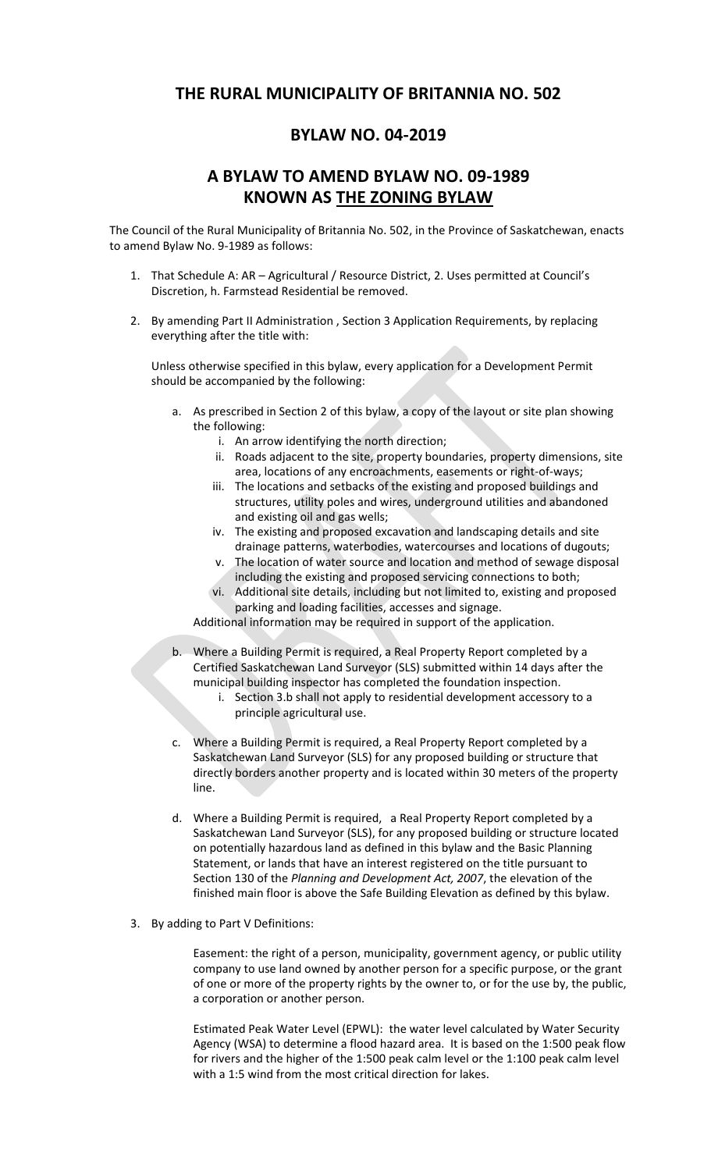## **THE RURAL MUNICIPALITY OF BRITANNIA NO. 502**

## **BYLAW NO. 04-2019**

## **A BYLAW TO AMEND BYLAW NO. 09-1989 KNOWN AS THE ZONING BYLAW**

The Council of the Rural Municipality of Britannia No. 502, in the Province of Saskatchewan, enacts to amend Bylaw No. 9-1989 as follows:

- 1. That Schedule A: AR Agricultural / Resource District, 2. Uses permitted at Council's Discretion, h. Farmstead Residential be removed.
- 2. By amending Part II Administration , Section 3 Application Requirements, by replacing everything after the title with:

Unless otherwise specified in this bylaw, every application for a Development Permit should be accompanied by the following:

- a. As prescribed in Section 2 of this bylaw, a copy of the layout or site plan showing the following:
	- i. An arrow identifying the north direction;
	- ii. Roads adjacent to the site, property boundaries, property dimensions, site area, locations of any encroachments, easements or right-of-ways;
	- iii. The locations and setbacks of the existing and proposed buildings and structures, utility poles and wires, underground utilities and abandoned and existing oil and gas wells;
	- iv. The existing and proposed excavation and landscaping details and site drainage patterns, waterbodies, watercourses and locations of dugouts;
	- v. The location of water source and location and method of sewage disposal including the existing and proposed servicing connections to both;
	- vi. Additional site details, including but not limited to, existing and proposed parking and loading facilities, accesses and signage.

Additional information may be required in support of the application.

- b. Where a Building Permit is required, a Real Property Report completed by a Certified Saskatchewan Land Surveyor (SLS) submitted within 14 days after the municipal building inspector has completed the foundation inspection.
	- i. Section 3.b shall not apply to residential development accessory to a principle agricultural use.
- c. Where a Building Permit is required, a Real Property Report completed by a Saskatchewan Land Surveyor (SLS) for any proposed building or structure that directly borders another property and is located within 30 meters of the property line.
- d. Where a Building Permit is required, a Real Property Report completed by a Saskatchewan Land Surveyor (SLS), for any proposed building or structure located on potentially hazardous land as defined in this bylaw and the Basic Planning Statement, or lands that have an interest registered on the title pursuant to Section 130 of the *Planning and Development Act, 2007*, the elevation of the finished main floor is above the Safe Building Elevation as defined by this bylaw.
- 3. By adding to Part V Definitions:

Easement: the right of a person, municipality, government agency, or public utility company to use land owned by another person for a specific purpose, or the grant of one or more of the property rights by the owner to, or for the use by, the public, a corporation or another person.

Estimated Peak Water Level (EPWL): the water level calculated by Water Security Agency (WSA) to determine a flood hazard area. It is based on the 1:500 peak flow for rivers and the higher of the 1:500 peak calm level or the 1:100 peak calm level with a 1:5 wind from the most critical direction for lakes.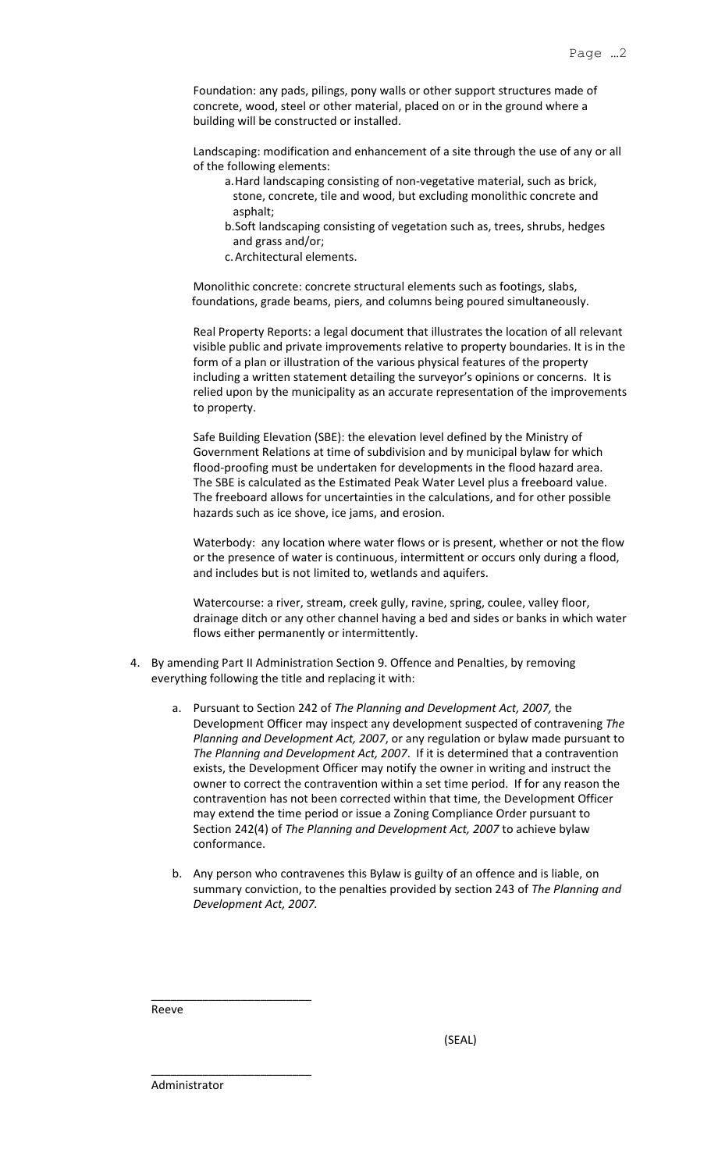Foundation: any pads, pilings, pony walls or other support structures made of concrete, wood, steel or other material, placed on or in the ground where a building will be constructed or installed.

Landscaping: modification and enhancement of a site through the use of any or all of the following elements:

- a.Hard landscaping consisting of non-vegetative material, such as brick, stone, concrete, tile and wood, but excluding monolithic concrete and asphalt;
- b.Soft landscaping consisting of vegetation such as, trees, shrubs, hedges and grass and/or;
- c.Architectural elements.

Monolithic concrete: concrete structural elements such as footings, slabs, foundations, grade beams, piers, and columns being poured simultaneously.

Real Property Reports: a legal document that illustrates the location of all relevant visible public and private improvements relative to property boundaries. It is in the form of a plan or illustration of the various physical features of the property including a written statement detailing the surveyor's opinions or concerns. It is relied upon by the municipality as an accurate representation of the improvements to property.

Safe Building Elevation (SBE): the elevation level defined by the Ministry of Government Relations at time of subdivision and by municipal bylaw for which flood-proofing must be undertaken for developments in the flood hazard area. The SBE is calculated as the Estimated Peak Water Level plus a freeboard value. The freeboard allows for uncertainties in the calculations, and for other possible hazards such as ice shove, ice jams, and erosion.

Waterbody: any location where water flows or is present, whether or not the flow or the presence of water is continuous, intermittent or occurs only during a flood, and includes but is not limited to, wetlands and aquifers.

Watercourse: a river, stream, creek gully, ravine, spring, coulee, valley floor, drainage ditch or any other channel having a bed and sides or banks in which water flows either permanently or intermittently.

- 4. By amending Part II Administration Section 9. Offence and Penalties, by removing everything following the title and replacing it with:
	- a. Pursuant to Section 242 of *The Planning and Development Act, 2007,* the Development Officer may inspect any development suspected of contravening *The Planning and Development Act, 2007*, or any regulation or bylaw made pursuant to *The Planning and Development Act, 2007*. If it is determined that a contravention exists, the Development Officer may notify the owner in writing and instruct the owner to correct the contravention within a set time period. If for any reason the contravention has not been corrected within that time, the Development Officer may extend the time period or issue a Zoning Compliance Order pursuant to Section 242(4) of *The Planning and Development Act, 2007* to achieve bylaw conformance.
	- b. Any person who contravenes this Bylaw is guilty of an offence and is liable, on summary conviction, to the penalties provided by section 243 of *The Planning and Development Act, 2007.*

\_\_\_\_\_\_\_\_\_\_\_\_\_\_\_\_\_\_\_\_\_\_\_\_\_ Reeve

(SEAL)

Administrator

\_\_\_\_\_\_\_\_\_\_\_\_\_\_\_\_\_\_\_\_\_\_\_\_\_